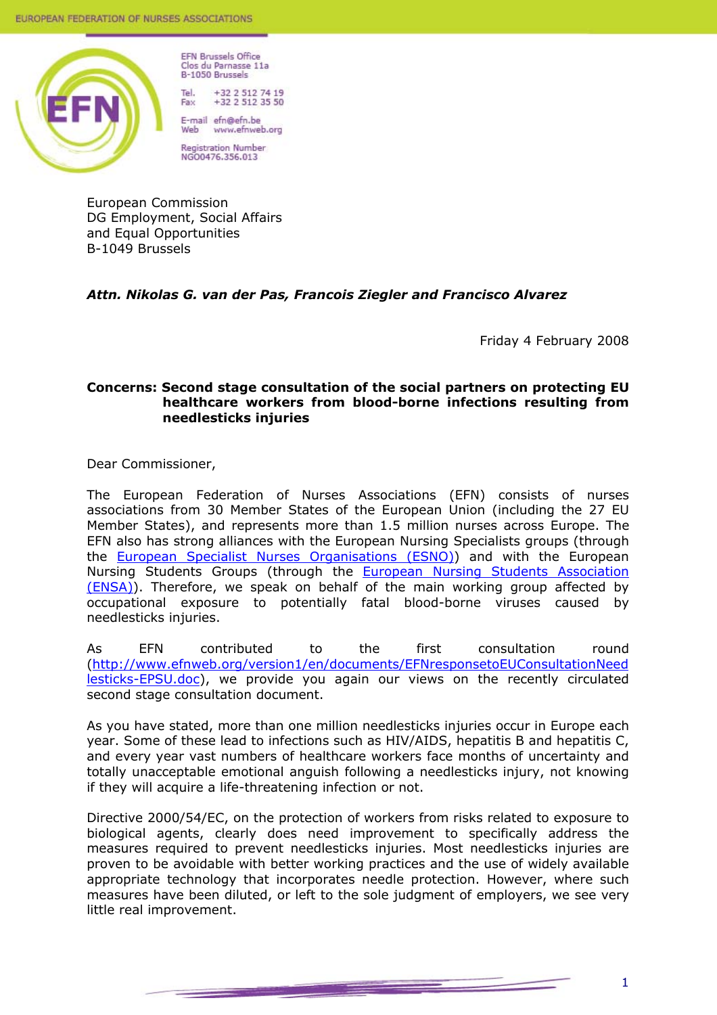

**EFN Brussels Office** Clos du Parnasse 11a **B-1050 Brussels** Tol

+32 2 512 74 19<br>+32 2 512 35 50 Fax

E-mail efn@efn.be www.efnweb.org Web

**Registration Number** NGO0476.356.013

European Commission DG Employment, Social Affairs and Equal Opportunities B-1049 Brussels

# *Attn. Nikolas G. van der Pas, Francois Ziegler and Francisco Alvarez*

Friday 4 February 2008

## **Concerns: Second stage consultation of the social partners on protecting EU healthcare workers from blood-borne infections resulting from needlesticks injuries**

Dear Commissioner,

The European Federation of Nurses Associations (EFN) consists of nurses associations from 30 Member States of the European Union (including the 27 EU Member States), and represents more than 1.5 million nurses across Europe. The EFN also has strong alliances with the European Nursing Specialists groups (through the **European Specialist Nurses Organisations (ESNO)** and with the European Nursing Students Groups (through the European Nursing Students Association (ENSA)). Therefore, we speak on behalf of the main working group affected by occupational exposure to potentially fatal blood-borne viruses caused by needlesticks injuries.

As EFN contributed to the first consultation round (http://www.efnweb.org/version1/en/documents/EFNresponsetoEUConsultationNeed lesticks-EPSU.doc), we provide you again our views on the recently circulated second stage consultation document.

As you have stated, more than one million needlesticks injuries occur in Europe each year. Some of these lead to infections such as HIV/AIDS, hepatitis B and hepatitis C, and every year vast numbers of healthcare workers face months of uncertainty and totally unacceptable emotional anguish following a needlesticks injury, not knowing if they will acquire a life-threatening infection or not.

Directive 2000/54/EC, on the protection of workers from risks related to exposure to biological agents, clearly does need improvement to specifically address the measures required to prevent needlesticks injuries. Most needlesticks injuries are proven to be avoidable with better working practices and the use of widely available appropriate technology that incorporates needle protection. However, where such measures have been diluted, or left to the sole judgment of employers, we see very little real improvement.

<u>e de la companya de la companya de la companya de la companya de la companya de la companya de la companya de</u>

1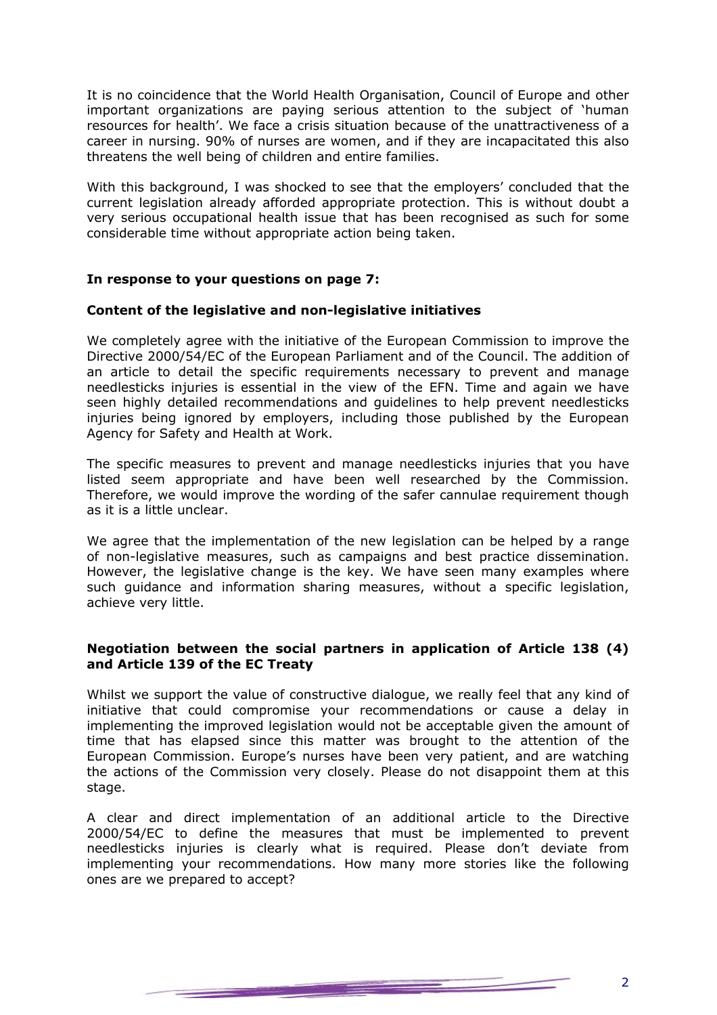It is no coincidence that the World Health Organisation, Council of Europe and other important organizations are paying serious attention to the subject of 'human resources for health'. We face a crisis situation because of the unattractiveness of a career in nursing. 90% of nurses are women, and if they are incapacitated this also threatens the well being of children and entire families.

With this background, I was shocked to see that the employers' concluded that the current legislation already afforded appropriate protection. This is without doubt a very serious occupational health issue that has been recognised as such for some considerable time without appropriate action being taken.

## **In response to your questions on page 7:**

### **Content of the legislative and non-legislative initiatives**

We completely agree with the initiative of the European Commission to improve the Directive 2000/54/EC of the European Parliament and of the Council. The addition of an article to detail the specific requirements necessary to prevent and manage needlesticks injuries is essential in the view of the EFN. Time and again we have seen highly detailed recommendations and guidelines to help prevent needlesticks injuries being ignored by employers, including those published by the European Agency for Safety and Health at Work.

The specific measures to prevent and manage needlesticks injuries that you have listed seem appropriate and have been well researched by the Commission. Therefore, we would improve the wording of the safer cannulae requirement though as it is a little unclear.

We agree that the implementation of the new legislation can be helped by a range of non-legislative measures, such as campaigns and best practice dissemination. However, the legislative change is the key. We have seen many examples where such guidance and information sharing measures, without a specific legislation, achieve very little.

## **Negotiation between the social partners in application of Article 138 (4) and Article 139 of the EC Treaty**

Whilst we support the value of constructive dialogue, we really feel that any kind of initiative that could compromise your recommendations or cause a delay in implementing the improved legislation would not be acceptable given the amount of time that has elapsed since this matter was brought to the attention of the European Commission. Europe's nurses have been very patient, and are watching the actions of the Commission very closely. Please do not disappoint them at this stage.

A clear and direct implementation of an additional article to the Directive 2000/54/EC to define the measures that must be implemented to prevent needlesticks injuries is clearly what is required. Please don't deviate from implementing your recommendations. How many more stories like the following ones are we prepared to accept?

<u>e de la companya de la companya de la companya de la companya de la companya de la companya de la companya de</u>